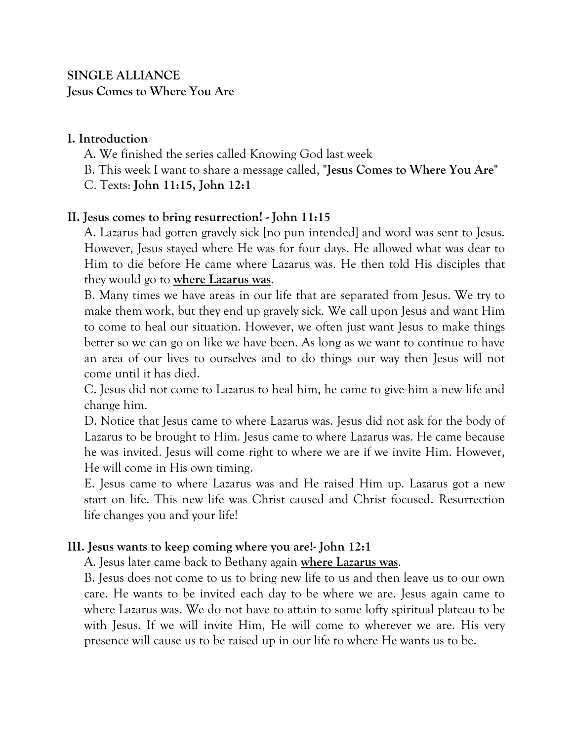# **SINGLE ALLIANCE Jesus Comes to Where You Are**

### **I. Introduction**

- A. We finished the series called Knowing God last week
- B. This week I want to share a message called, "**Jesus Comes to Where You Are**"
- C. Texts: **John 11:15, John 12:1**

## **II. Jesus comes to bring resurrection! - John 11:15**

A. Lazarus had gotten gravely sick [no pun intended] and word was sent to Jesus. However, Jesus stayed where He was for four days. He allowed what was dear to Him to die before He came where Lazarus was. He then told His disciples that they would go to **where Lazarus was**.

B. Many times we have areas in our life that are separated from Jesus. We try to make them work, but they end up gravely sick. We call upon Jesus and want Him to come to heal our situation. However, we often just want Jesus to make things better so we can go on like we have been. As long as we want to continue to have an area of our lives to ourselves and to do things our way then Jesus will not come until it has died.

C. Jesus did not come to Lazarus to heal him, he came to give him a new life and change him.

D. Notice that Jesus came to where Lazarus was. Jesus did not ask for the body of Lazarus to be brought to Him. Jesus came to where Lazarus was. He came because he was invited. Jesus will come right to where we are if we invite Him. However, He will come in His own timing.

E. Jesus came to where Lazarus was and He raised Him up. Lazarus got a new start on life. This new life was Christ caused and Christ focused. Resurrection life changes you and your life!

#### **III. Jesus wants to keep coming where you are!- John 12:1**

A. Jesus later came back to Bethany again **where Lazarus was**.

B. Jesus does not come to us to bring new life to us and then leave us to our own care. He wants to be invited each day to be where we are. Jesus again came to where Lazarus was. We do not have to attain to some lofty spiritual plateau to be with Jesus. If we will invite Him, He will come to wherever we are. His very presence will cause us to be raised up in our life to where He wants us to be.